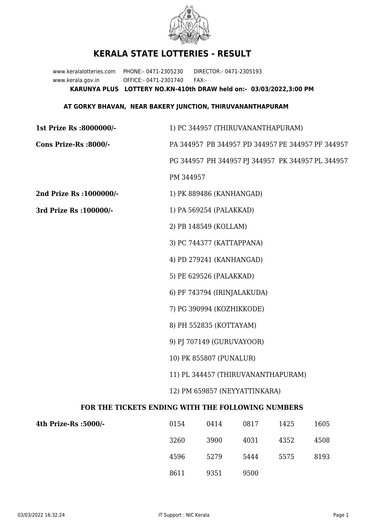

## **KERALA STATE LOTTERIES - RESULT**

www.keralalotteries.com PHONE:- 0471-2305230 DIRECTOR:- 0471-2305193 www.kerala.gov.in OFFICE:- 0471-2301740 FAX:- **KARUNYA PLUS LOTTERY NO.KN-410th DRAW held on:- 03/03/2022,3:00 PM**

## **AT GORKY BHAVAN, NEAR BAKERY JUNCTION, THIRUVANANTHAPURAM**

| 1st Prize Rs :8000000/-                           | 1) PC 344957 (THIRUVANANTHAPURAM)                                                 |                          |      |      |                                                   |  |  |
|---------------------------------------------------|-----------------------------------------------------------------------------------|--------------------------|------|------|---------------------------------------------------|--|--|
| Cons Prize-Rs :8000/-                             | PA 344957 PB 344957 PD 344957 PE 344957 PF 344957                                 |                          |      |      |                                                   |  |  |
|                                                   |                                                                                   |                          |      |      | PG 344957 PH 344957 PJ 344957 PK 344957 PL 344957 |  |  |
|                                                   | PM 344957                                                                         |                          |      |      |                                                   |  |  |
| 2nd Prize Rs : 1000000/-                          |                                                                                   | 1) PK 889486 (KANHANGAD) |      |      |                                                   |  |  |
| 3rd Prize Rs : 100000/-                           | 1) PA 569254 (PALAKKAD)<br>2) PB 148549 (KOLLAM)                                  |                          |      |      |                                                   |  |  |
|                                                   |                                                                                   |                          |      |      |                                                   |  |  |
|                                                   | 3) PC 744377 (KATTAPPANA)                                                         |                          |      |      |                                                   |  |  |
|                                                   | 4) PD 279241 (KANHANGAD)                                                          |                          |      |      |                                                   |  |  |
|                                                   | 5) PE 629526 (PALAKKAD)<br>6) PF 743794 (IRINJALAKUDA)                            |                          |      |      |                                                   |  |  |
|                                                   |                                                                                   |                          |      |      |                                                   |  |  |
|                                                   | 7) PG 390994 (KOZHIKKODE)<br>8) PH 552835 (KOTTAYAM)<br>9) PJ 707149 (GURUVAYOOR) |                          |      |      |                                                   |  |  |
|                                                   |                                                                                   |                          |      |      |                                                   |  |  |
|                                                   |                                                                                   |                          |      |      |                                                   |  |  |
|                                                   | 10) PK 855807 (PUNALUR)<br>11) PL 344457 (THIRUVANANTHAPURAM)                     |                          |      |      |                                                   |  |  |
|                                                   |                                                                                   |                          |      |      |                                                   |  |  |
| 12) PM 659857 (NEYYATTINKARA)                     |                                                                                   |                          |      |      |                                                   |  |  |
| FOR THE TICKETS ENDING WITH THE FOLLOWING NUMBERS |                                                                                   |                          |      |      |                                                   |  |  |
| 4th Prize-Rs :5000/-                              | 0154                                                                              | 0414                     | 0817 | 1425 | 1605                                              |  |  |
|                                                   | 3260                                                                              | 3900                     | 4031 | 4352 | 4508                                              |  |  |

4596 5279 5444 5575 8193 8611 9351 9500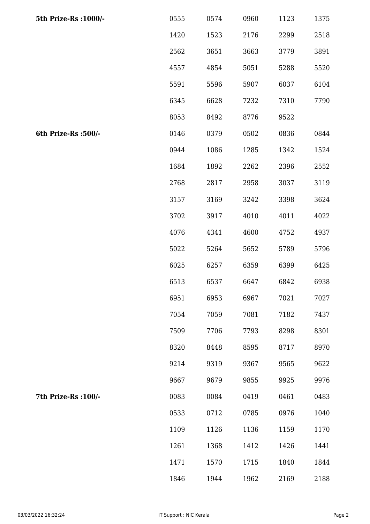| 5th Prize-Rs : 1000/- | 0555 | 0574 | 0960 | 1123 | 1375 |
|-----------------------|------|------|------|------|------|
|                       | 1420 | 1523 | 2176 | 2299 | 2518 |
|                       | 2562 | 3651 | 3663 | 3779 | 3891 |
|                       | 4557 | 4854 | 5051 | 5288 | 5520 |
|                       | 5591 | 5596 | 5907 | 6037 | 6104 |
|                       | 6345 | 6628 | 7232 | 7310 | 7790 |
|                       | 8053 | 8492 | 8776 | 9522 |      |
| 6th Prize-Rs :500/-   | 0146 | 0379 | 0502 | 0836 | 0844 |
|                       | 0944 | 1086 | 1285 | 1342 | 1524 |
|                       | 1684 | 1892 | 2262 | 2396 | 2552 |
|                       | 2768 | 2817 | 2958 | 3037 | 3119 |
|                       | 3157 | 3169 | 3242 | 3398 | 3624 |
|                       | 3702 | 3917 | 4010 | 4011 | 4022 |
|                       | 4076 | 4341 | 4600 | 4752 | 4937 |
|                       | 5022 | 5264 | 5652 | 5789 | 5796 |
|                       | 6025 | 6257 | 6359 | 6399 | 6425 |
|                       | 6513 | 6537 | 6647 | 6842 | 6938 |
|                       | 6951 | 6953 | 6967 | 7021 | 7027 |
|                       | 7054 | 7059 | 7081 | 7182 | 7437 |
|                       | 7509 | 7706 | 7793 | 8298 | 8301 |
|                       | 8320 | 8448 | 8595 | 8717 | 8970 |
|                       | 9214 | 9319 | 9367 | 9565 | 9622 |
|                       | 9667 | 9679 | 9855 | 9925 | 9976 |
| 7th Prize-Rs : 100/-  | 0083 | 0084 | 0419 | 0461 | 0483 |
|                       | 0533 | 0712 | 0785 | 0976 | 1040 |
|                       | 1109 | 1126 | 1136 | 1159 | 1170 |
|                       | 1261 | 1368 | 1412 | 1426 | 1441 |
|                       | 1471 | 1570 | 1715 | 1840 | 1844 |
|                       | 1846 | 1944 | 1962 | 2169 | 2188 |